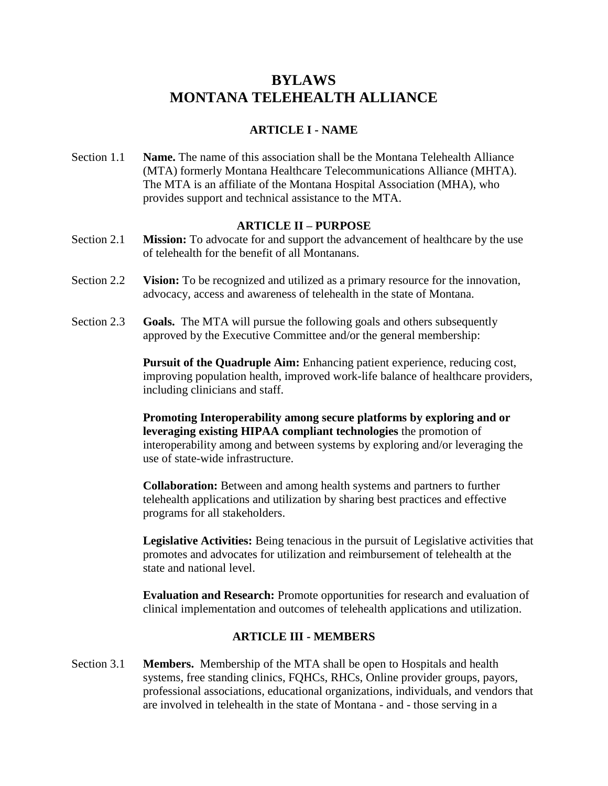# **BYLAWS MONTANA TELEHEALTH ALLIANCE**

# **ARTICLE I - NAME**

Section 1.1 **Name.** The name of this association shall be the Montana Telehealth Alliance (MTA) formerly Montana Healthcare Telecommunications Alliance (MHTA). The MTA is an affiliate of the Montana Hospital Association (MHA), who provides support and technical assistance to the MTA.

#### **ARTICLE II – PURPOSE**

- Section 2.1 **Mission:** To advocate for and support the advancement of healthcare by the use of telehealth for the benefit of all Montanans.
- Section 2.2 **Vision:** To be recognized and utilized as a primary resource for the innovation, advocacy, access and awareness of telehealth in the state of Montana.
- Section 2.3 **Goals.** The MTA will pursue the following goals and others subsequently approved by the Executive Committee and/or the general membership:

**Pursuit of the Quadruple Aim:** Enhancing patient experience, reducing cost, improving population health, improved work-life balance of healthcare providers, including clinicians and staff.

**Promoting Interoperability among secure platforms by exploring and or leveraging existing HIPAA compliant technologies** the promotion of interoperability among and between systems by exploring and/or leveraging the use of state-wide infrastructure.

**Collaboration:** Between and among health systems and partners to further telehealth applications and utilization by sharing best practices and effective programs for all stakeholders.

**Legislative Activities:** Being tenacious in the pursuit of Legislative activities that promotes and advocates for utilization and reimbursement of telehealth at the state and national level.

**Evaluation and Research:** Promote opportunities for research and evaluation of clinical implementation and outcomes of telehealth applications and utilization.

# **ARTICLE III - MEMBERS**

Section 3.1 **Members.** Membership of the MTA shall be open to Hospitals and health systems, free standing clinics, FQHCs, RHCs, Online provider groups, payors, professional associations, educational organizations, individuals, and vendors that are involved in telehealth in the state of Montana - and - those serving in a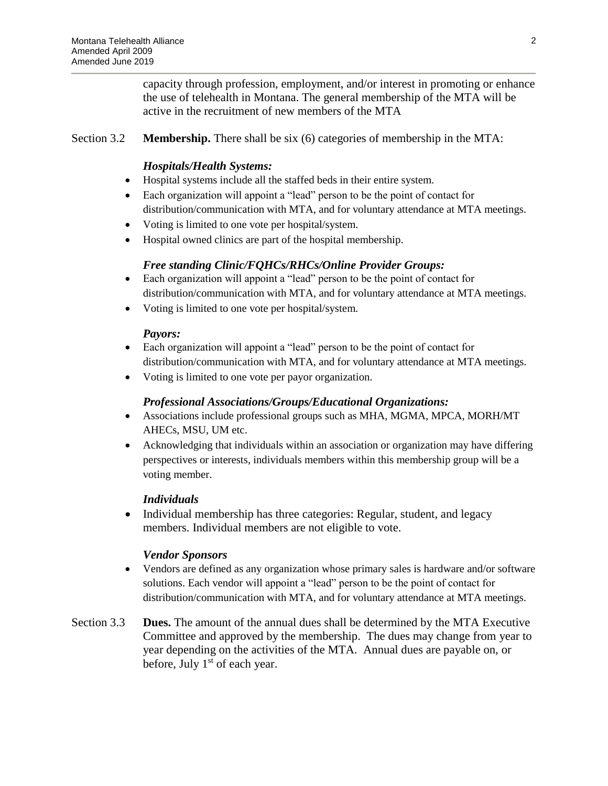capacity through profession, employment, and/or interest in promoting or enhance the use of telehealth in Montana. The general membership of the MTA will be active in the recruitment of new members of the MTA

## Section 3.2 **Membership.** There shall be six (6) categories of membership in the MTA:

#### *Hospitals/Health Systems:*

- Hospital systems include all the staffed beds in their entire system.
- Each organization will appoint a "lead" person to be the point of contact for distribution/communication with MTA, and for voluntary attendance at MTA meetings.
- Voting is limited to one vote per hospital/system.
- Hospital owned clinics are part of the hospital membership.

## *Free standing Clinic/FQHCs/RHCs/Online Provider Groups:*

- Each organization will appoint a "lead" person to be the point of contact for distribution/communication with MTA, and for voluntary attendance at MTA meetings.
- Voting is limited to one vote per hospital/system.

#### *Payors:*

- Each organization will appoint a "lead" person to be the point of contact for distribution/communication with MTA, and for voluntary attendance at MTA meetings.
- Voting is limited to one vote per payor organization.

#### *Professional Associations/Groups/Educational Organizations:*

- Associations include professional groups such as MHA, MGMA, MPCA, MORH/MT AHECs, MSU, UM etc.
- Acknowledging that individuals within an association or organization may have differing perspectives or interests, individuals members within this membership group will be a voting member.

#### *Individuals*

• Individual membership has three categories: Regular, student, and legacy members. Individual members are not eligible to vote.

#### *Vendor Sponsors*

- Vendors are defined as any organization whose primary sales is hardware and/or software solutions. Each vendor will appoint a "lead" person to be the point of contact for distribution/communication with MTA, and for voluntary attendance at MTA meetings.
- Section 3.3 **Dues.** The amount of the annual dues shall be determined by the MTA Executive Committee and approved by the membership. The dues may change from year to year depending on the activities of the MTA. Annual dues are payable on, or before, July  $1<sup>st</sup>$  of each year.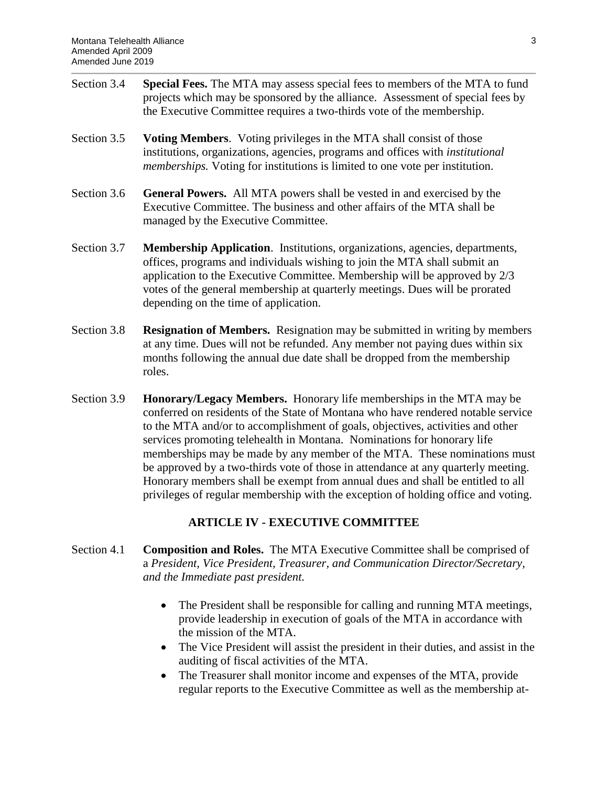- Section 3.4 **Special Fees.** The MTA may assess special fees to members of the MTA to fund projects which may be sponsored by the alliance. Assessment of special fees by the Executive Committee requires a two-thirds vote of the membership.
- Section 3.5 **Voting Members**. Voting privileges in the MTA shall consist of those institutions, organizations, agencies, programs and offices with *institutional memberships.* Voting for institutions is limited to one vote per institution.
- Section 3.6 **General Powers.** All MTA powers shall be vested in and exercised by the Executive Committee. The business and other affairs of the MTA shall be managed by the Executive Committee.
- Section 3.7 **Membership Application**. Institutions, organizations, agencies, departments, offices, programs and individuals wishing to join the MTA shall submit an application to the Executive Committee. Membership will be approved by 2/3 votes of the general membership at quarterly meetings. Dues will be prorated depending on the time of application.
- Section 3.8 **Resignation of Members.** Resignation may be submitted in writing by members at any time. Dues will not be refunded. Any member not paying dues within six months following the annual due date shall be dropped from the membership roles.
- Section 3.9 **Honorary/Legacy Members.** Honorary life memberships in the MTA may be conferred on residents of the State of Montana who have rendered notable service to the MTA and/or to accomplishment of goals, objectives, activities and other services promoting telehealth in Montana. Nominations for honorary life memberships may be made by any member of the MTA. These nominations must be approved by a two-thirds vote of those in attendance at any quarterly meeting. Honorary members shall be exempt from annual dues and shall be entitled to all privileges of regular membership with the exception of holding office and voting.

# **ARTICLE IV - EXECUTIVE COMMITTEE**

- Section 4.1 **Composition and Roles.** The MTA Executive Committee shall be comprised of a *President, Vice President, Treasurer, and Communication Director/Secretary, and the Immediate past president.* 
	- The President shall be responsible for calling and running MTA meetings, provide leadership in execution of goals of the MTA in accordance with the mission of the MTA.
	- The Vice President will assist the president in their duties, and assist in the auditing of fiscal activities of the MTA.
	- The Treasurer shall monitor income and expenses of the MTA, provide regular reports to the Executive Committee as well as the membership at-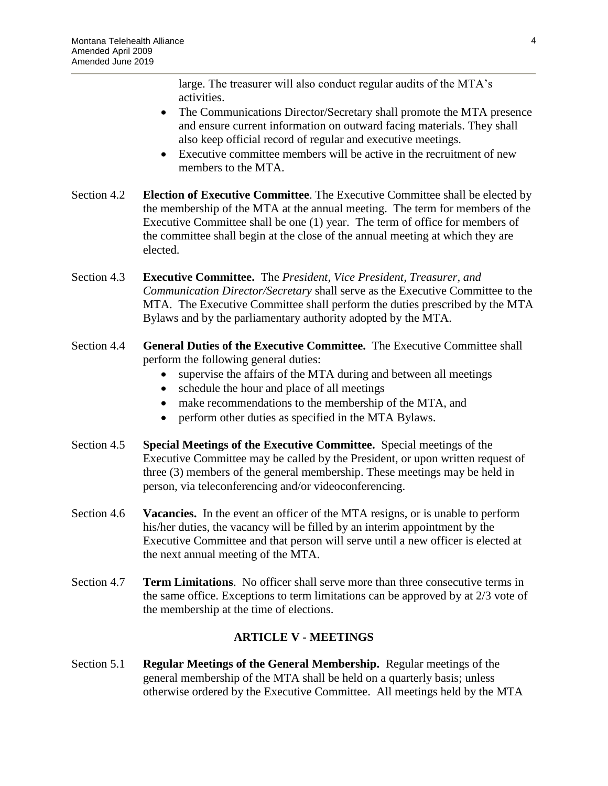large. The treasurer will also conduct regular audits of the MTA's activities.

- The Communications Director/Secretary shall promote the MTA presence and ensure current information on outward facing materials. They shall also keep official record of regular and executive meetings.
- Executive committee members will be active in the recruitment of new members to the MTA.
- Section 4.2 **Election of Executive Committee**. The Executive Committee shall be elected by the membership of the MTA at the annual meeting. The term for members of the Executive Committee shall be one (1) year. The term of office for members of the committee shall begin at the close of the annual meeting at which they are elected.
- Section 4.3 **Executive Committee.** The *President, Vice President, Treasurer, and Communication Director/Secretary* shall serve as the Executive Committee to the MTA. The Executive Committee shall perform the duties prescribed by the MTA Bylaws and by the parliamentary authority adopted by the MTA.
- Section 4.4 **General Duties of the Executive Committee.** The Executive Committee shall perform the following general duties:
	- supervise the affairs of the MTA during and between all meetings
	- schedule the hour and place of all meetings
	- make recommendations to the membership of the MTA, and
	- perform other duties as specified in the MTA Bylaws.
- Section 4.5 **Special Meetings of the Executive Committee.** Special meetings of the Executive Committee may be called by the President, or upon written request of three (3) members of the general membership. These meetings may be held in person, via teleconferencing and/or videoconferencing.
- Section 4.6 **Vacancies.** In the event an officer of the MTA resigns, or is unable to perform his/her duties, the vacancy will be filled by an interim appointment by the Executive Committee and that person will serve until a new officer is elected at the next annual meeting of the MTA.
- Section 4.7 **Term Limitations**. No officer shall serve more than three consecutive terms in the same office. Exceptions to term limitations can be approved by at 2/3 vote of the membership at the time of elections.

# **ARTICLE V - MEETINGS**

Section 5.1 **Regular Meetings of the General Membership.** Regular meetings of the general membership of the MTA shall be held on a quarterly basis; unless otherwise ordered by the Executive Committee. All meetings held by the MTA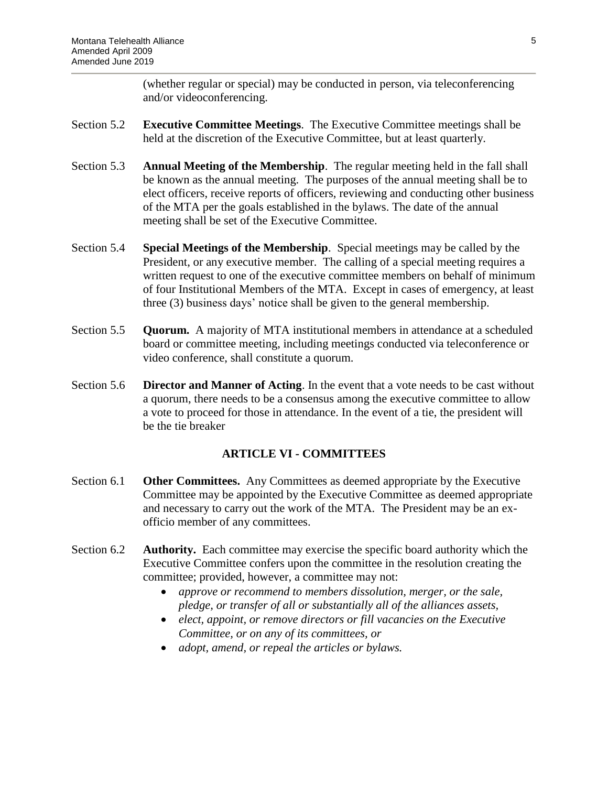(whether regular or special) may be conducted in person, via teleconferencing and/or videoconferencing.

- Section 5.2 **Executive Committee Meetings**. The Executive Committee meetings shall be held at the discretion of the Executive Committee, but at least quarterly.
- Section 5.3 **Annual Meeting of the Membership**. The regular meeting held in the fall shall be known as the annual meeting. The purposes of the annual meeting shall be to elect officers, receive reports of officers, reviewing and conducting other business of the MTA per the goals established in the bylaws. The date of the annual meeting shall be set of the Executive Committee.
- Section 5.4 **Special Meetings of the Membership**. Special meetings may be called by the President, or any executive member. The calling of a special meeting requires a written request to one of the executive committee members on behalf of minimum of four Institutional Members of the MTA. Except in cases of emergency, at least three (3) business days' notice shall be given to the general membership.
- Section 5.5 **Quorum.** A majority of MTA institutional members in attendance at a scheduled board or committee meeting, including meetings conducted via teleconference or video conference, shall constitute a quorum.
- Section 5.6 **Director and Manner of Acting**. In the event that a vote needs to be cast without a quorum, there needs to be a consensus among the executive committee to allow a vote to proceed for those in attendance. In the event of a tie, the president will be the tie breaker

#### **ARTICLE VI - COMMITTEES**

- Section 6.1 **Other Committees.** Any Committees as deemed appropriate by the Executive Committee may be appointed by the Executive Committee as deemed appropriate and necessary to carry out the work of the MTA. The President may be an exofficio member of any committees.
- Section 6.2 **Authority.** Each committee may exercise the specific board authority which the Executive Committee confers upon the committee in the resolution creating the committee; provided, however, a committee may not:
	- *approve or recommend to members dissolution, merger, or the sale, pledge, or transfer of all or substantially all of the alliances assets,*
	- *elect, appoint, or remove directors or fill vacancies on the Executive Committee, or on any of its committees, or*
	- *adopt, amend, or repeal the articles or bylaws.*